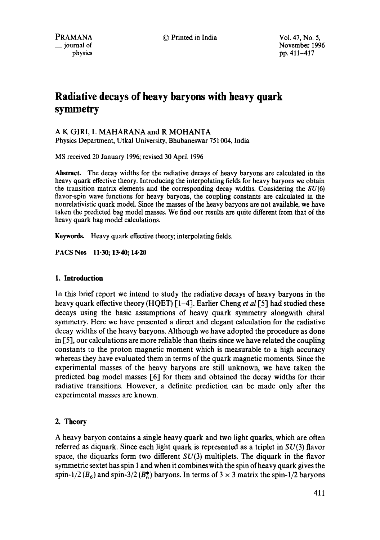© Printed in India Vol. 47, No. 5,

November 1996 pp. 411-417

# **Radiative decays of heavy baryons with heavy quark symmetry**

# A K GIRI, L MAHARANA and R MOHANTA

Physics Department, Utkal University, Bhubaneswar 751004, India

MS received 20 January 1996; revised 30 April 1996

**Abstract.** The decay widths for the radiative decays of heavy baryons are calculated in the heavy quark effective theory. Introducing the interpolating fields for heavy baryons we obtain the transition matrix elements and the corresponding decay widths. Considering the  $SU(6)$ flavor-spin wave functions for heavy baryons, the coupling constants are calculated in the nonrelativistic quark model. Since the masses of the heavy baryons are not available, we have taken the predicted bag model masses. We find our results are quite different from that of the heavy quark bag model calculations.

**Keywords.** Heavy quark effective theory; interpolating fields.

**PACS Nos 11.30; 13.40; 14.20** 

## **1. Introduction**

In this brief report we intend to study the radiative decays of heavy baryons in the heavy quark effective theory (HQET) [1-4]. Earlier Cheng *et al* [5] had studied these decays using the basic assumptions of heavy quark symmetry alongwith chiral symmetry. Here we have presented a direct and elegant calculation for the radiative decay widths of the heavy baryons. Although we have adopted the procedure as done in [5], our calculations are more reliable than theirs since we have related the coupling constants to the proton magnetic moment which is measurable to a high accuracy whereas they have evaluated them in terms of the quark magnetic moments. Since the experimental masses of the heavy baryons are still unknown, we have taken the predicted bag model masses [6] for them and obtained the decay widths for their radiative transitions. However, a definite prediction can be made only after the experimental masses are known.

# 2. **Theory**

A heavy baryon contains a single heavy quark and two light quarks, which are often referred as diquark. Since each light quark is represented as a triplet in  $SU(3)$  flavor space, the diquarks form two different  $SU(3)$  multiplets. The diquark in the flavor symmetric sextet has spin 1 and when it combines with the spin of heavy quark gives the spin-1/2 ( $B_6$ ) and spin-3/2 ( $B_6^*$ ) baryons. In terms of 3  $\times$  3 matrix the spin-1/2 baryons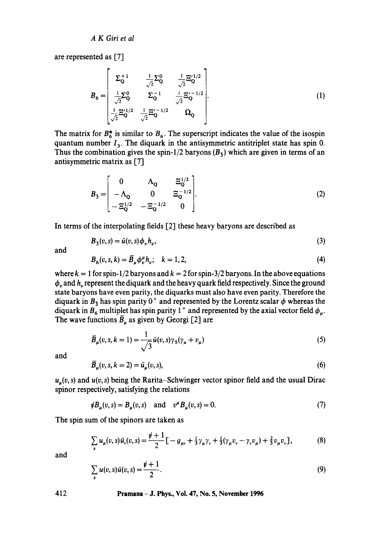are represented as [7]

$$
B_6 = \begin{bmatrix} \Sigma_0^{+1} & \frac{1}{\sqrt{2}} \Sigma_0^0 & \frac{1}{\sqrt{2}} \Xi_0'^{1/2} \\ \frac{1}{\sqrt{2}} \Sigma_0^0 & \Sigma_0^{-1} & \frac{1}{\sqrt{2}} \Xi_0'^{-1/2} \\ \frac{1}{\sqrt{2}} \Xi_0'^{1/2} & \frac{1}{\sqrt{2}} \Xi_0'^{-1/2} & \Omega_Q \end{bmatrix} .
$$
(1)

The matrix for  $B_6^*$  is similar to  $B_6$ . The superscript indicates the value of the isospin quantum number  $I_3$ . The diquark in the antisymmetric antitriplet state has spin 0. Thus the combination gives the spin-1/2 baryons  $(B_3)$  which are given in terms of an antisymmetric matrix as [7]

$$
B_{\bar{3}} = \begin{bmatrix} 0 & \Lambda_{\mathbf{Q}} & \Xi_{\mathbf{Q}}^{1/2} \\ -\Lambda_{\mathbf{Q}} & 0 & \Xi_{\mathbf{Q}}^{-1/2} \\ -\Xi_{\mathbf{Q}}^{1/2} & -\Xi_{\mathbf{Q}}^{-1/2} & 0 \end{bmatrix}.
$$
 (2)

In terms of the interpolating fields [2] these heavy baryons are described as

$$
B_{\bar{3}}(v,s) = \bar{u}(v,s)\phi_v h_v,\tag{3}
$$

and

$$
B_6(v, s, k) = \bar{B}_\mu \phi_v^{\mu} h_v; \quad k = 1, 2,
$$
 (4)

where  $k = 1$  for spin-1/2 baryons and  $k = 2$  for spin-3/2 baryons. In the above equations  $\phi_r$  and  $h_r$  represent the diquark and the heavy quark field respectively. Since the ground state baryons have even parity, the diquarks must also have even parity. Therefore the diquark in  $B_3$  has spin parity  $0^+$  and represented by the Lorentz scalar  $\phi$  whereas the diquark in  $B_6$  multiplet has spin parity 1<sup>+</sup> and represented by the axial vector field  $\phi_\mu$ . The wave functions  $\bar{B}_\mu$  as given by Georgi [2] are

$$
\overline{B}_{\mu}(v,s,k=1) = \frac{1}{\sqrt{3}}\bar{u}(v,s)\gamma_5(\gamma_{\mu} + v_{\mu})
$$
\n(5)

and

$$
\overline{B}_{\mu}(v,s,k=2) = \overline{u}_{\mu}(v,s),\tag{6}
$$

 $u_{\mu}(v, s)$  and  $u(v, s)$  being the Rarita-Schwinger vector spinor field and the usual Dirac spinor respectively, satisfying the relations

$$
\psi B_{\mu}(v,s) = B_{\mu}(v,s) \quad \text{and} \quad v^{\mu} B_{\mu}(v,s) = 0. \tag{7}
$$

The spin sum of the spinors are taken as

$$
\sum_{s} u_{\mu}(v,s)\bar{u}_{v}(v,s) = \frac{\psi+1}{2}\big[-g_{\mu\nu} + \frac{1}{3}\gamma_{\mu}\gamma_{\nu} + \frac{1}{3}(\gamma_{\mu}v_{\nu} - \gamma_{\nu}v_{\mu}) + \frac{2}{3}v_{\mu}v_{\nu}\big],
$$
(8)

and

$$
\sum_{s} u(v,s)\bar{u}(v,s) = \frac{\rlap{\hspace{0.02cm}/}{v}+1}{2}.
$$
\n(9)

**412 Pramana - J. Phys., Vol. 47, No. 5, November 1996**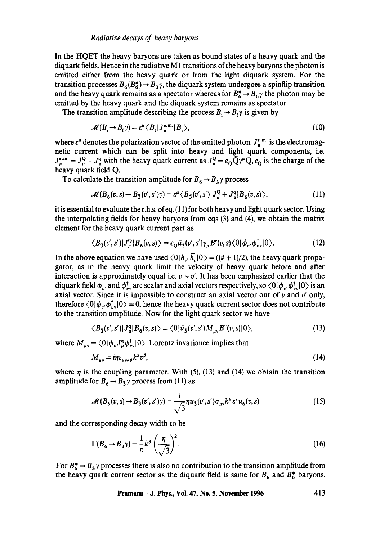In the HQET the heavy baryons are taken as bound states of a heavy quark and the diquark fields. Hence in the radiative  $M_1$  transitions of the heavy baryons the photon is emitted either from the heavy quark or from the light diquark system. For the transition processes  $B_6(B_6^*) \rightarrow B_{\bar{3}}\gamma$ , the diquark system undergoes a spinflip transition and the heavy quark remains as a spectator whereas for  $B_6^* \rightarrow B_6$  the photon may be emitted by the heavy quark and the diquark system remains as spectator.

The transition amplitude describing the process  $B_i \rightarrow B_f \gamma$  is given by

$$
\mathcal{M}(B_i \to B_f \gamma) = \varepsilon^{\mu} \langle B_f | J_{\mu}^{\text{e.m.}} | B_i \rangle, \tag{10}
$$

where  $\varepsilon^{\mu}$  denotes the polarization vector of the emitted photon.  $J_{\mu}^{\varepsilon,m}$  is the electromagnetic current which can be split into heavy and light quark components, i.e.  $J_{\mu}^{\epsilon,m} = J_{\mu}^{\alpha} + J_{\mu}^{\alpha}$  with the heavy quark current as  $J_{\mu}^{\alpha} = e_{Q} \overline{Q} \gamma^{\mu} Q, e_{Q}$  is the charge of the heavy quark field Q.

To calculate the transition amplitude for  $B_6 \rightarrow B_3 \gamma$  process

$$
\mathcal{M}(B_6(v,s) \to B_{\bar{3}}(v',s')\gamma) = \varepsilon^{\mu} \langle B_{\bar{3}}(v',s') | J_{\mu}^{\mathbf{Q}} + J_{\mu}^{\mathbf{q}} | B_6(v,s) \rangle, \tag{11}
$$

it is essential to evaluate the r.h.s, ofeq. (11) for both heavy and light quark sector. Using the interpolating fields for heavy baryons from eqs (3) and (4), we obtain the matrix element for the heavy quark current part as

$$
\langle B_{\bar{3}}(v',s')|J_{\mu}^{\mathbf{Q}}|B_{6}(v,s)\rangle = e_{\mathbf{Q}}\bar{u}_{\bar{3}}(v',s')\gamma_{\mu}B^{v}(v,s)\langle 0|\phi_{v'}\phi_{vv}^{\dagger}|0\rangle. \tag{12}
$$

In the above equation we have used  $\langle 0|h_{v}, \overline{h}_{v}|0\rangle = ((\psi + 1)/2)$ , the heavy quark propagator, as in the heavy quark limit the velocity of heavy quark before and after interaction is approximately equal i.e.  $v \sim v'$ . It has been emphasized earlier that the diquark field  $\phi_v$  and  $\phi_v^{\dagger}$  are scalar and axial vectors respectively, so  $\langle 0|\phi_v, \phi_v^{\dagger}|0\rangle$  is an axial vector. Since it is impossible to construct an axial vector out of  $v$  and  $v'$  only, therefore  $\langle 0|\phi_{n'} \phi_{n'}^{\dagger} |0 \rangle = 0$ , hence the heavy quark current sector does not contribute to the transition amplitude. Now for the light quark sector we have

$$
\langle B_{\bar{3}}(v',s')|J_{\mu}^{\mathbf{q}}|B_{6}(v,s)\rangle = \langle 0|\bar{u}_{\bar{3}}(v',s')M_{\mu\nu}B^{\nu}(v,s)|0\rangle, \tag{13}
$$

where  $M_{\mu\nu} = \langle 0 | \phi_{\nu} J_{\mu}^{\text{q}} \phi_{\nu}^{\dagger} | 0 \rangle$ . Lorentz invariance implies that

$$
M_{\mu\nu} = i\eta \varepsilon_{\mu\nu\alpha\beta} k^a v^\beta, \tag{14}
$$

where  $\eta$  is the coupling parameter. With (5), (13) and (14) we obtain the transition amplitude for  $B_6 \rightarrow B_5 \gamma$  process from (11) as

$$
\mathcal{M}(B_6(v,s) \to B_{\bar{3}}(v',s')\gamma) = \frac{i}{\sqrt{3}} \eta \bar{u}_{\bar{3}}(v',s') \sigma_{\mu\nu} k^{\mu} \varepsilon^{\nu} u_6(v,s)
$$
(15)

and the corresponding decay width to be

$$
\Gamma(B_6 \to B_3 \gamma) = \frac{1}{\pi} k^3 \left(\frac{\eta}{\sqrt{3}}\right)^2.
$$
 (16)

For  $B_6^* \rightarrow B_3 \gamma$  processes there is also no contribution to the transition amplitude from the heavy quark current sector as the diquark field is same for  $B_6$  and  $B_6^*$  baryons,

**Pramana - J. Phys., Vol. 47, No. 5, November 1996 413**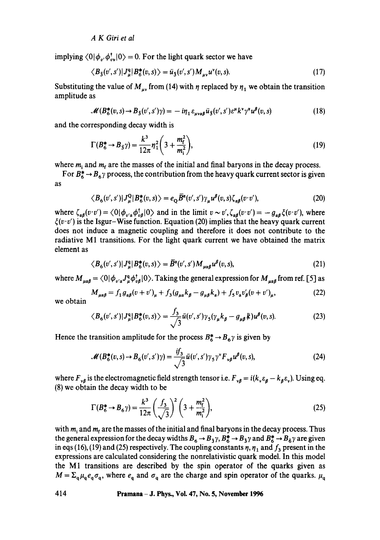*A K Girl et al* 

implying  $\langle 0|\phi_{\nu}, \phi_{\nu}^{\dagger}|0 \rangle = 0$ . For the light quark sector we have

$$
\langle B_{\bar{3}}(v',s')|J_{\mu}^{q}|B_{6}^{*}(v,s)\rangle = \bar{u}_{\bar{3}}(v',s')M_{\mu\nu}u^{*}(v,s).
$$
\n(17)

Substituting the value of  $M_{uv}$  from (14) with  $\eta$  replaced by  $\eta_1$  we obtain the transition amplitude as

$$
\mathcal{M}(B_6^*(v,s) \to B_{\bar{3}}(v',s')\gamma) = -i\eta_1 \varepsilon_{\mu\nu\alpha\beta} \bar{u}_{\bar{3}}(v',s') \varepsilon^{\mu} k^{\nu} \gamma^{\alpha} u^{\beta}(v,s)
$$
(18)

and the corresponding decay width is

$$
\Gamma(B_6^* \to B_3 \gamma) = \frac{k^3}{12\pi} \eta_1^2 \left(3 + \frac{m_f^2}{m_i^2}\right),\tag{19}
$$

where  $m_i$  and  $m_f$  are the masses of the initial and final baryons in the decay process.

For  $B_6^* \rightarrow B_6$  process, the contribution from the heavy quark current sector is given as

$$
\langle B_6(v',s')|J^Q_\mu|B^*_6(v,s)\rangle = e_Q \overline{B}^a(v',s')\gamma_\mu u^\beta(v,s)\zeta_{\alpha\beta}(v\cdot v'),\tag{20}
$$

where  $\zeta_{\alpha\beta}(v \cdot v') = \langle 0 | \phi_{v'\alpha} \phi_{v\beta}^{\dagger} | 0 \rangle$  and in the limit  $v \sim v'$ ,  $\zeta_{\alpha\beta}(v \cdot v') = -g_{\alpha\beta}\zeta(v \cdot v')$ , where  $\xi(v \cdot v')$  is the Isgur-Wise function. Equation (20) implies that the heavy quark current does not induce a magnetic coupling and therefore it does not contribute to the radiative M1 transitions. For the light quark current we have obtained the matrix element as

$$
\langle B_6(v',s')|J^q_\mu|B^*_6(v,s)\rangle = \overline{B}^{\alpha}(v',s')M_{\mu\alpha\beta}u^{\beta}(v,s),\tag{21}
$$

where  $M_{\mu\alpha\beta} = \langle 0 | \phi_{\nu'\alpha} J^q_{\mu} \phi_{\nu\beta}^{\dagger} | 0 \rangle$ . Taking the general expression for  $M_{\mu\alpha\beta}$  from ref. [5] as

$$
M_{\mu\alpha\beta} = f_1 g_{\alpha\beta} (v + v')_{\mu} + f_3 (g_{\mu\alpha} k_{\beta} - g_{\mu\beta} k_{\alpha}) + f_5 v_{\alpha} v'_{\beta} (v + v')_{\mu},
$$
 (22)

we obtain

$$
\langle B_6(v',s')|J^q_{\mu}|B^{\ast}_6(v,s)\rangle = \frac{f_3}{\sqrt{3}}\bar{u}(v',s')\gamma_5(\gamma_{\mu}k_{\beta} - g_{\mu\beta}k)u^{\beta}(v,s).
$$
 (23)

Hence the transition amplitude for the process  $B_6^* \rightarrow B_6\gamma$  is given by

$$
\mathcal{M}(B_6^*(v,s) \to B_6(v',s')\gamma) = \frac{if_3}{\sqrt{3}}\bar{u}(v',s')\gamma_5\gamma^{\nu}F_{\nu\beta}u^{\beta}(v,s),\tag{24}
$$

where  $F_{\nu\beta}$  is the electromagnetic field strength tensor i.e.  $F_{\nu\beta} = i(k_{\nu}\varepsilon_{\beta} - k_{\beta}\varepsilon_{\nu})$ . Using eq. (8) we obtain the decay width to be

$$
\Gamma(B_6^* \to B_6 \gamma) = \frac{k^3}{12\pi} \left(\frac{f_3}{\sqrt{3}}\right)^2 \left(3 + \frac{m_\text{f}^2}{m_\text{i}^2}\right),\tag{25}
$$

with  $m_i$  and  $m_f$  are the masses of the initial and final baryons in the decay process. Thus the general expression for the decay widths  $B_6 \to B_3 \gamma$ ,  $B_6^* \to B_3 \gamma$  and  $B_6^* \to B_6 \gamma$  are given in eqs (16), (19) and (25) respectively. The coupling constants  $\eta$ ,  $\eta_1$  and  $f_3$  present in the expressions are calculated considering the nonrelativistic quark model. In this model the M1 transitions are described by the spin operator of the quarks given as  $M = \sum_{q} \mu_q e_q \sigma_q$ , where  $e_q$  and  $\sigma_q$  are the charge and spin operator of the quarks.  $\mu_q$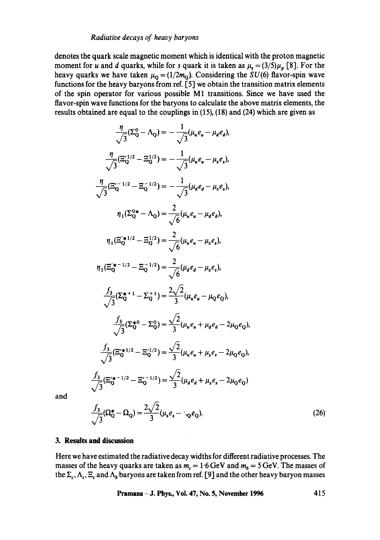#### *Radiative decays of heavy baryons*

denotes the quark scale magnetic moment which is identical with the proton magnetic moment for *u* and *d* quarks, while for *s* quark it is taken as  $\mu_s = (3/5)\mu_p$  [8]. For the heavy quarks we have taken  $\mu_{\mathbf{Q}} = (1/2m_{\mathbf{Q}})$ . Considering the *SU(6)* flavor-spin wave functions for the heavy baryons from ref. **[5]** we obtain the transition matrix elements of the spin operator for various possible **M1** transitions. Since we have used the flavor-spin wave functions for the baryons to calculate the above matrix elements, the results obtained are equal to the couplings in **(15), (18)** and **(24)** which are given as

$$
\frac{\eta}{\sqrt{3}}(\Sigma_{Q}^{0} - \Lambda_{Q}) = -\frac{1}{\sqrt{3}}(\mu_{u}e_{u} - \mu_{d}e_{d}),
$$
\n
$$
\frac{\eta}{\sqrt{3}}(\Xi_{Q}^{\prime 1/2} - \Xi_{Q}^{1/2}) = -\frac{1}{\sqrt{3}}(\mu_{u}e_{u} - \mu_{s}e_{s}),
$$
\n
$$
\frac{\eta}{\sqrt{3}}(\Xi_{Q}^{\prime - 1/2} - \Xi_{Q}^{-1/2}) = -\frac{1}{\sqrt{3}}(\mu_{d}e_{d} - \mu_{s}e_{s}),
$$
\n
$$
\eta_{1}(\Sigma_{Q}^{0*} - \Lambda_{Q}) = \frac{2}{\sqrt{6}}(\mu_{u}e_{u} - \mu_{d}e_{d}),
$$
\n
$$
\eta_{1}(\Xi_{Q}^{\prime*1/2} - \Xi_{Q}^{1/2}) = \frac{2}{\sqrt{6}}(\mu_{u}e_{u} - \mu_{s}e_{s}),
$$
\n
$$
\eta_{1}(\Xi_{Q}^{\prime*1/2} - \Xi_{Q}^{-1/2}) = \frac{2}{\sqrt{6}}(\mu_{d}e_{d} - \mu_{s}e_{s}),
$$
\n
$$
\frac{f_{3}}{\sqrt{3}}(\Sigma_{Q}^{*1} - \Sigma_{Q}^{*1}) = \frac{2\sqrt{2}}{3}(\mu_{u}e_{u} - \mu_{Q}e_{Q}),
$$
\n
$$
\frac{f_{3}}{\sqrt{3}}(\Sigma_{Q}^{*0} - \Sigma_{Q}^{0}) = \frac{\sqrt{2}}{3}(\mu_{u}e_{u} + \mu_{d}e_{d} - 2\mu_{Q}e_{Q}),
$$
\n
$$
\frac{f_{3}}{\sqrt{3}}(\Xi_{Q}^{\prime*1/2} - \Xi_{Q}^{\prime1/2}) = \frac{\sqrt{2}}{3}(\mu_{u}e_{u} + \mu_{s}e_{s} - 2\mu_{Q}e_{Q}),
$$
\n
$$
\frac{f_{3}}{\sqrt{3}}(\Xi_{Q}^{\prime*1/2} - \Xi_{Q}^{\prime-1/2}) = \frac{\sqrt{2}}{3}(\mu_{d}e_{d} + \mu_{s}e_{s} - 2\mu_{Q}e_{Q}),
$$

and

$$
\frac{f_3}{\sqrt{3}}(\Omega_Q^* - \Omega_Q) = \frac{2\sqrt{2}}{3}(\mu_s e_s - \mu_Q e_Q). \tag{26}
$$

#### **3. Results and discussion**

Here we have estimated the radiative decay widths for different radiative processes. The masses of the heavy quarks are taken as  $m_c = 1.6$  GeV and  $m_b = 5$  GeV. The masses of the  $\Sigma_c$ ,  $\Lambda_c$ ,  $\Xi_c$  and  $\Lambda_b$  baryons are taken from ref. [9] and the other heavy baryon masses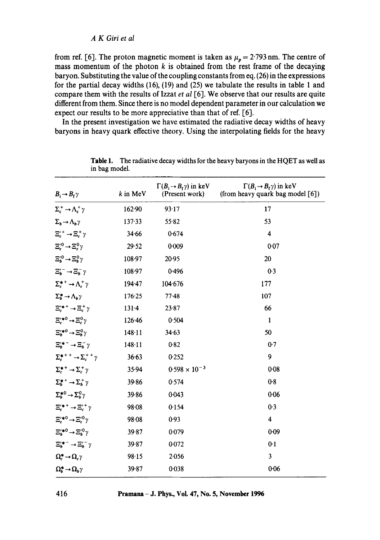from ref. [6]. The proton magnetic moment is taken as  $\mu_p = 2.793$  nm. The centre of mass momentum of the photon  $k$  is obtained from the rest frame of the decaying baryon. Substituting the value of the coupling constants from eq. (26) in the expressions for the partial decay widths  $(16)$ ,  $(19)$  and  $(25)$  we tabulate the results in table 1 and compare them with the results of Izzat *et al* [6]. We observe that our results are quite different from them. Since there is no model dependent parameter in our calculation we expect our results to be more appreciative than that of ref. [6].

In the present investigation we have estimated the radiative decay widths of heavy baryons in heavy quark effective theory. Using the interpolating fields for the heavy

| $B_i \rightarrow B_f \gamma$                                          | $k$ in MeV | $\Gamma(B_i \rightarrow B_f \gamma)$ in keV<br>(Present work) | $\Gamma(B_i \rightarrow B_f \gamma)$ in keV<br>(from heavy quark bag model [6]) |
|-----------------------------------------------------------------------|------------|---------------------------------------------------------------|---------------------------------------------------------------------------------|
| $\Sigma_c^+ \rightarrow \Lambda_c^+ \gamma$                           | 162.90     | 93.17                                                         | 17                                                                              |
| $\Sigma_b \rightarrow \Lambda_b \gamma$                               | 137.33     | 55.82                                                         | 53                                                                              |
| $\Xi_c^{\prime\,+}\to\Xi_c^+\gamma$                                   | 34.66      | 0.674                                                         | 4                                                                               |
| $\Xi_{c}^{\prime 0} \rightarrow \Xi_{c}^{0} \gamma$                   | 29.52      | 0.009                                                         | 0.07                                                                            |
| $\Xi_b^{\prime 0} \rightarrow \Xi_b^0 \gamma$                         | 108.97     | 20.95                                                         | 20                                                                              |
| $\Xi_b^{\prime -} \to \Xi_b^- \gamma$                                 | 108.97     | 0.496                                                         | 0.3                                                                             |
| $\Sigma_c^{*+} \rightarrow \Lambda_c^+ \gamma$                        | 194.47     | 104.676                                                       | 177                                                                             |
| $\Sigma_b^* \to \Lambda_b \gamma$                                     | 176.25     | $77 - 48$                                                     | 107                                                                             |
| $E_{c}^{\prime *}$ <sup>+</sup> $\rightarrow$ $E_{c}^{+}\gamma$       | $131 - 4$  | 23.87                                                         | 66                                                                              |
| $\Xi_c^{\prime*0}\!\to\!\Xi_c^0\gamma$                                | 126.46     | 0.504                                                         | 1                                                                               |
| $\Xi_b^{\prime*0}\to\Xi_b^0\gamma$                                    | 148.11     | 34.63                                                         | 50                                                                              |
| $\Xi_{b}^{\prime\ast\,+}\!\rightarrow\!\Xi_{b}^-\gamma$               | 148.11     | 0.82                                                          | 0.7                                                                             |
| $\Sigma_c^{*++} \rightarrow \Sigma_c^{++} \gamma$                     | 36.63      | 0.252                                                         | 9                                                                               |
| $\Sigma_{c}^{*+}\rightarrow\Sigma_{c}^{+}\gamma$                      | 35.94      | $0.598 \times 10^{-3}$                                        | 0.08                                                                            |
| $\Sigma_h^{*+} \rightarrow \Sigma_h^+ \gamma$                         | 39.86      | 0.574                                                         | 0.8                                                                             |
| $\Sigma_b^{*0} \rightarrow \Sigma_b^0 \gamma$                         | 39.86      | 0:043                                                         | 0.06                                                                            |
| $\Xi^{\prime \ast +} \rightarrow \Xi^{\prime +} \gamma$               | 98.08      | 0.154                                                         | 0.3                                                                             |
| $\Xi_c^{\prime*0}\to\Xi_c^{\prime0}\gamma$                            | 98.08      | 0.93                                                          | 4                                                                               |
| $\Xi_b^{\prime*0}\to\Xi_b^{\prime0}\gamma$                            | 39.87      | 0.079                                                         | 0.09                                                                            |
| $\Xi_b^{\prime *}$ <sup>-</sup> $\rightarrow \Xi_b^{\prime -} \gamma$ | $39 - 87$  | 0.072                                                         | 0.1                                                                             |
| $\Omega_c^* \rightarrow \Omega_c \gamma$                              | 98.15      | 2.056                                                         | 3                                                                               |
| $\Omega_b^* \to \Omega_b \gamma$                                      | 39.87      | 0.038                                                         | 0.06                                                                            |

Table 1. The radiative decay widths for the heavy baryons in the HQET as well as in bag model.